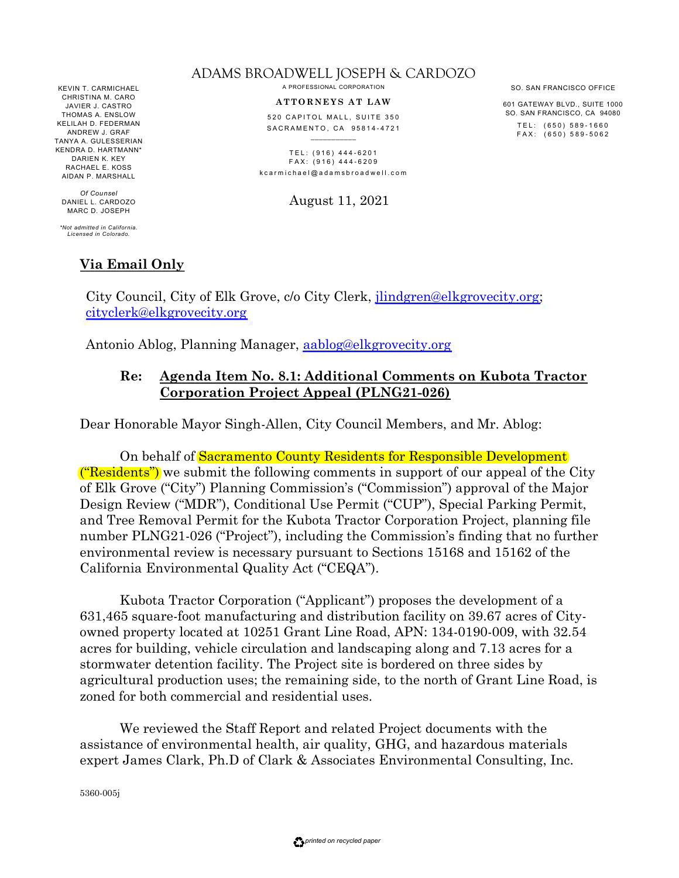KEVIN T. CARMICHAEL CHRISTINA M. CARO JAVIER J. CASTRO THOMAS A. ENSLOW KELILAH D. FEDERMAN ANDREW J. GRAF TANYA A. GULESSERIAN KENDRA D. HARTMANN<sup>\*</sup> DARIEN K. KEY RACHAEL E. KOSS AIDAN P. MARSHALL

*Of Counsel* DANIEL L. CARDOZO MARC D. JOSEPH

*\*Not admitted in California. Licensed in Colorado.*

# **Via Email Only**

ADAMS BROADWELL JOSEPH & CARDOZO A PROFESSIONAL CORPORATION

**A T T O RN E Y S A T L A W**

520 CAPITOL MALL, SUITE 350 SACRAMENTO, CA 95814-4721

TEL: (916) 444-6201  $FAX: (916) 444-6209$ k c a r m i c h a e l @ a d a m s b r o a d w e l l . c o m

August 11, 2021

City Council, City of Elk Grove, c/o City Clerk, jlindgren@elkgrovecity.org; cityclerk@elkgrovecity.org

Antonio Ablog, Planning Manager, aablog@elkgrovecity.org

#### **Re: Agenda Item No. 8.1: Additional Comments on Kubota Tractor Corporation Project Appeal (PLNG21-026)**

Dear Honorable Mayor Singh-Allen, City Council Members, and Mr. Ablog:

On behalf of Sacramento County Residents for Responsible Development ("Residents") we submit the following comments in support of our appeal of the City of Elk Grove ("City") Planning Commission's ("Commission") approval of the Major Design Review ("MDR"), Conditional Use Permit ("CUP"), Special Parking Permit, and Tree Removal Permit for the Kubota Tractor Corporation Project, planning file number PLNG21-026 ("Project"), including the Commission's finding that no further environmental review is necessary pursuant to Sections 15168 and 15162 of the California Environmental Quality Act ("CEQA").

Kubota Tractor Corporation ("Applicant") proposes the development of a 631,465 square-foot manufacturing and distribution facility on 39.67 acres of Cityowned property located at 10251 Grant Line Road, APN: 134-0190-009, with 32.54 acres for building, vehicle circulation and landscaping along and 7.13 acres for a stormwater detention facility. The Project site is bordered on three sides by agricultural production uses; the remaining side, to the north of Grant Line Road, is zoned for both commercial and residential uses.

We reviewed the Staff Report and related Project documents with the assistance of environmental health, air quality, GHG, and hazardous materials expert James Clark, Ph.D of Clark & Associates Environmental Consulting, Inc.

5360-005j

601 GATEWAY BLVD., SUITE 1000 SO. SAN FRANCISCO, CA 94080 TEL: (650) 589-1660

FAX: (650) 589-5062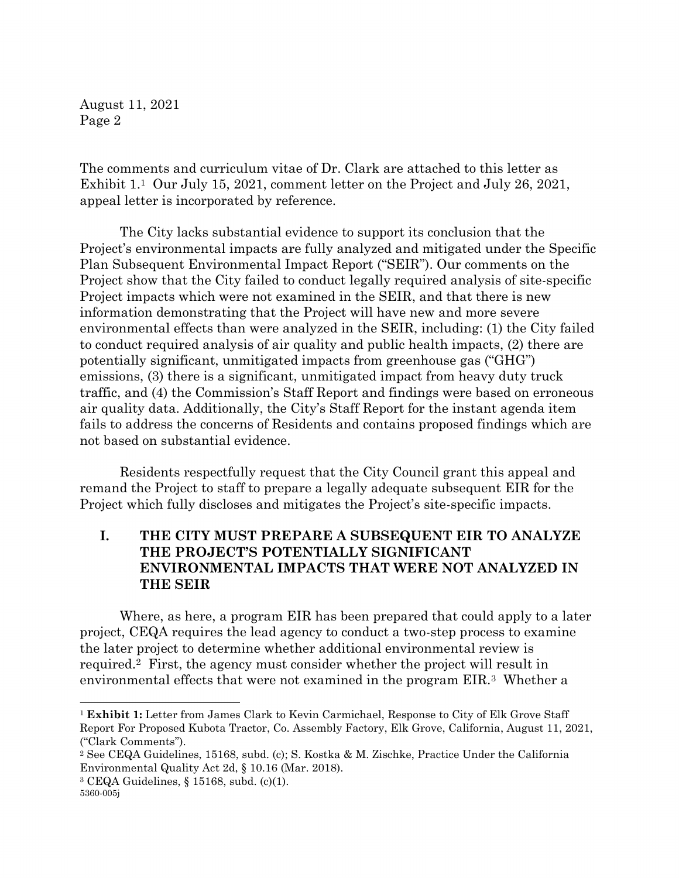The comments and curriculum vitae of Dr. Clark are attached to this letter as Exhibit 1.<sup>1</sup> Our July 15, 2021, comment letter on the Project and July 26, 2021, appeal letter is incorporated by reference.

The City lacks substantial evidence to support its conclusion that the Project's environmental impacts are fully analyzed and mitigated under the Specific Plan Subsequent Environmental Impact Report ("SEIR"). Our comments on the Project show that the City failed to conduct legally required analysis of site-specific Project impacts which were not examined in the SEIR, and that there is new information demonstrating that the Project will have new and more severe environmental effects than were analyzed in the SEIR, including: (1) the City failed to conduct required analysis of air quality and public health impacts, (2) there are potentially significant, unmitigated impacts from greenhouse gas ("GHG") emissions, (3) there is a significant, unmitigated impact from heavy duty truck traffic, and (4) the Commission's Staff Report and findings were based on erroneous air quality data. Additionally, the City's Staff Report for the instant agenda item fails to address the concerns of Residents and contains proposed findings which are not based on substantial evidence.

Residents respectfully request that the City Council grant this appeal and remand the Project to staff to prepare a legally adequate subsequent EIR for the Project which fully discloses and mitigates the Project's site-specific impacts.

# **I. THE CITY MUST PREPARE A SUBSEQUENT EIR TO ANALYZE THE PROJECT'S POTENTIALLY SIGNIFICANT ENVIRONMENTAL IMPACTS THAT WERE NOT ANALYZED IN THE SEIR**

Where, as here, a program EIR has been prepared that could apply to a later project, CEQA requires the lead agency to conduct a two-step process to examine the later project to determine whether additional environmental review is required.<sup>2</sup> First, the agency must consider whether the project will result in environmental effects that were not examined in the program EIR.<sup>3</sup> Whether a

 $3 \text{ CEQA}$  Guidelines, § 15168, subd. (c)(1).

<sup>1</sup> **Exhibit 1:** Letter from James Clark to Kevin Carmichael, Response to City of Elk Grove Staff Report For Proposed Kubota Tractor, Co. Assembly Factory, Elk Grove, California, August 11, 2021, ("Clark Comments").

<sup>2</sup> See CEQA Guidelines, 15168, subd. (c); S. Kostka & M. Zischke, Practice Under the California Environmental Quality Act 2d, § 10.16 (Mar. 2018).

<sup>5360-005</sup>j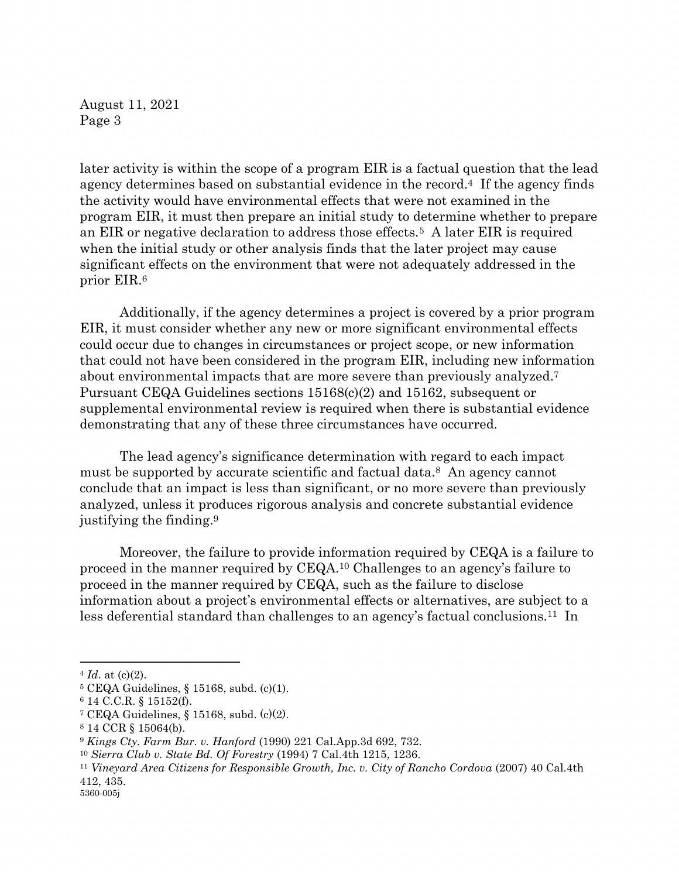later activity is within the scope of a program EIR is a factual question that the lead agency determines based on substantial evidence in the record.4 If the agency finds the activity would have environmental effects that were not examined in the program EIR, it must then prepare an initial study to determine whether to prepare an EIR or negative declaration to address those effects.<sup>5</sup> A later EIR is required when the initial study or other analysis finds that the later project may cause significant effects on the environment that were not adequately addressed in the prior EIR.<sup>6</sup>

Additionally, if the agency determines a project is covered by a prior program EIR, it must consider whether any new or more significant environmental effects could occur due to changes in circumstances or project scope, or new information that could not have been considered in the program EIR, including new information about environmental impacts that are more severe than previously analyzed. 7 Pursuant CEQA Guidelines sections 15168(c)(2) and 15162, subsequent or supplemental environmental review is required when there is substantial evidence demonstrating that any of these three circumstances have occurred.

The lead agency's significance determination with regard to each impact must be supported by accurate scientific and factual data.<sup>8</sup> An agency cannot conclude that an impact is less than significant, or no more severe than previously analyzed, unless it produces rigorous analysis and concrete substantial evidence justifying the finding.<sup>9</sup>

Moreover, the failure to provide information required by CEQA is a failure to proceed in the manner required by CEQA.<sup>10</sup> Challenges to an agency's failure to proceed in the manner required by CEQA, such as the failure to disclose information about a project's environmental effects or alternatives, are subject to a less deferential standard than challenges to an agency's factual conclusions.<sup>11</sup> In

 $4 \text{ Id. at } (c)(2)$ .

<sup>5</sup> CEQA Guidelines, § 15168, subd. (c)(1).

<sup>6</sup> 14 C.C.R. § 15152(f).

<sup>&</sup>lt;sup>7</sup> CEQA Guidelines, § 15168, subd.  $(c)(2)$ .

<sup>8</sup> 14 CCR § 15064(b).

<sup>9</sup> *Kings Cty. Farm Bur. v. Hanford* (1990) 221 Cal.App.3d 692, 732.

<sup>10</sup> *Sierra Club v. State Bd. Of Forestry* (1994) 7 Cal.4th 1215, 1236.

<sup>11</sup> *Vineyard Area Citizens for Responsible Growth, Inc. v. City of Rancho Cordova* (2007) 40 Cal.4th 412, 435.

<sup>5360-005</sup>j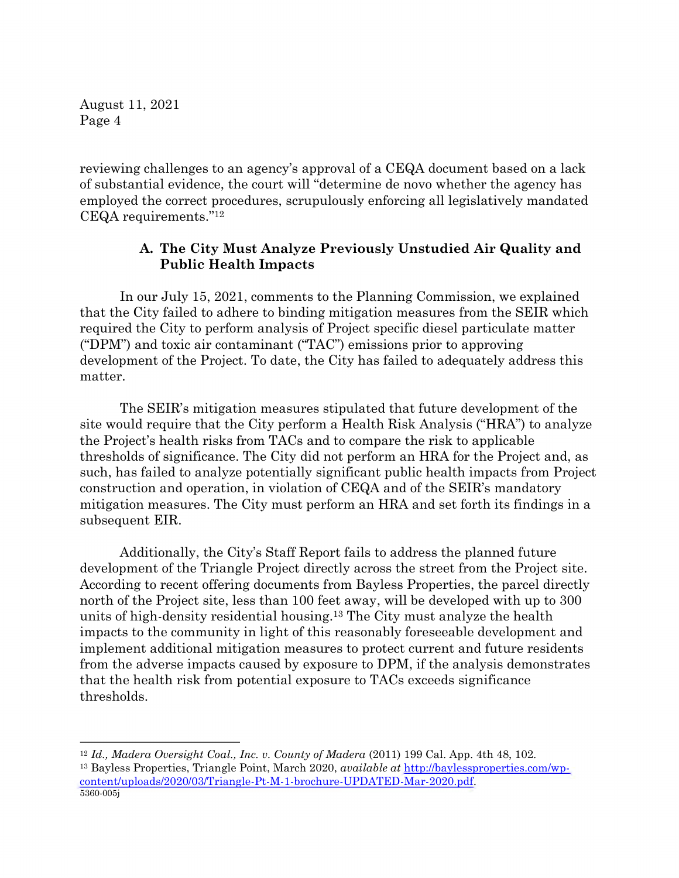reviewing challenges to an agency's approval of a CEQA document based on a lack of substantial evidence, the court will "determine de novo whether the agency has employed the correct procedures, scrupulously enforcing all legislatively mandated CEQA requirements."<sup>12</sup>

# **A. The City Must Analyze Previously Unstudied Air Quality and Public Health Impacts**

In our July 15, 2021, comments to the Planning Commission, we explained that the City failed to adhere to binding mitigation measures from the SEIR which required the City to perform analysis of Project specific diesel particulate matter ("DPM") and toxic air contaminant ("TAC") emissions prior to approving development of the Project. To date, the City has failed to adequately address this matter.

The SEIR's mitigation measures stipulated that future development of the site would require that the City perform a Health Risk Analysis ("HRA") to analyze the Project's health risks from TACs and to compare the risk to applicable thresholds of significance. The City did not perform an HRA for the Project and, as such, has failed to analyze potentially significant public health impacts from Project construction and operation, in violation of CEQA and of the SEIR's mandatory mitigation measures. The City must perform an HRA and set forth its findings in a subsequent EIR.

Additionally, the City's Staff Report fails to address the planned future development of the Triangle Project directly across the street from the Project site. According to recent offering documents from Bayless Properties, the parcel directly north of the Project site, less than 100 feet away, will be developed with up to 300 units of high-density residential housing.<sup>13</sup> The City must analyze the health impacts to the community in light of this reasonably foreseeable development and implement additional mitigation measures to protect current and future residents from the adverse impacts caused by exposure to DPM, if the analysis demonstrates that the health risk from potential exposure to TACs exceeds significance thresholds.

<sup>5360-005</sup>j <sup>12</sup> *Id., Madera Oversight Coal., Inc. v. County of Madera* (2011) 199 Cal. App. 4th 48, 102. <sup>13</sup> Bayless Properties, Triangle Point, March 2020, *available at* http://baylessproperties.com/wpcontent/uploads/2020/03/Triangle-Pt-M-1-brochure-UPDATED-Mar-2020.pdf.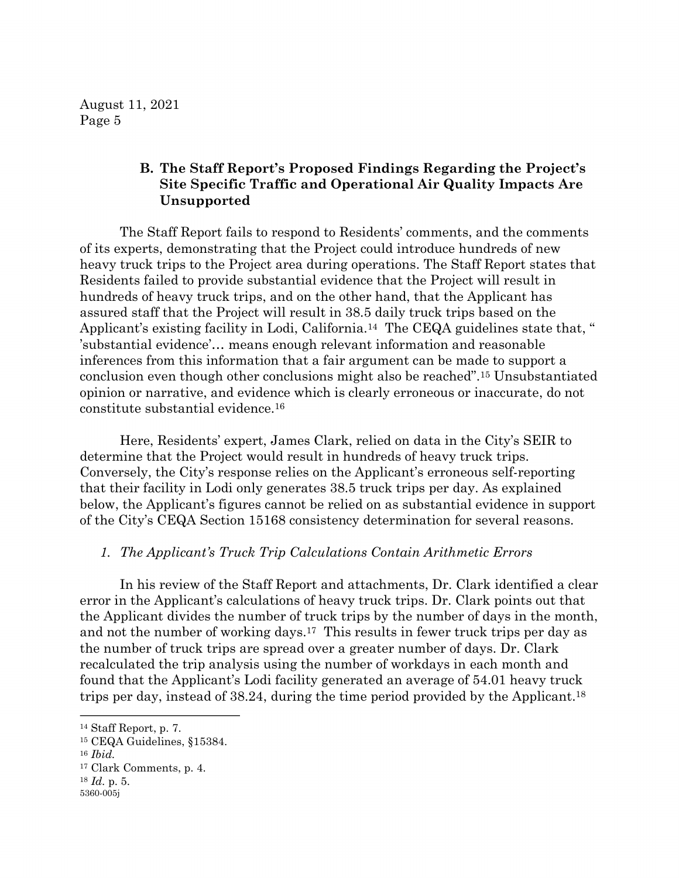# **B. The Staff Report's Proposed Findings Regarding the Project's Site Specific Traffic and Operational Air Quality Impacts Are Unsupported**

The Staff Report fails to respond to Residents' comments, and the comments of its experts, demonstrating that the Project could introduce hundreds of new heavy truck trips to the Project area during operations. The Staff Report states that Residents failed to provide substantial evidence that the Project will result in hundreds of heavy truck trips, and on the other hand, that the Applicant has assured staff that the Project will result in 38.5 daily truck trips based on the Applicant's existing facility in Lodi, California.<sup>14</sup> The CEQA guidelines state that, " 'substantial evidence'… means enough relevant information and reasonable inferences from this information that a fair argument can be made to support a conclusion even though other conclusions might also be reached".<sup>15</sup> Unsubstantiated opinion or narrative, and evidence which is clearly erroneous or inaccurate, do not constitute substantial evidence.<sup>16</sup>

Here, Residents' expert, James Clark, relied on data in the City's SEIR to determine that the Project would result in hundreds of heavy truck trips. Conversely, the City's response relies on the Applicant's erroneous self-reporting that their facility in Lodi only generates 38.5 truck trips per day. As explained below, the Applicant's figures cannot be relied on as substantial evidence in support of the City's CEQA Section 15168 consistency determination for several reasons.

#### *1. The Applicant's Truck Trip Calculations Contain Arithmetic Errors*

In his review of the Staff Report and attachments, Dr. Clark identified a clear error in the Applicant's calculations of heavy truck trips. Dr. Clark points out that the Applicant divides the number of truck trips by the number of days in the month, and not the number of working days.<sup>17</sup> This results in fewer truck trips per day as the number of truck trips are spread over a greater number of days. Dr. Clark recalculated the trip analysis using the number of workdays in each month and found that the Applicant's Lodi facility generated an average of 54.01 heavy truck trips per day, instead of 38.24, during the time period provided by the Applicant. 18

<sup>14</sup> Staff Report, p. 7.

<sup>15</sup> CEQA Guidelines, §15384.

<sup>16</sup> *Ibid.*

<sup>17</sup> Clark Comments, p. 4.

<sup>18</sup> *Id.* p. 5.

<sup>5360-005</sup>j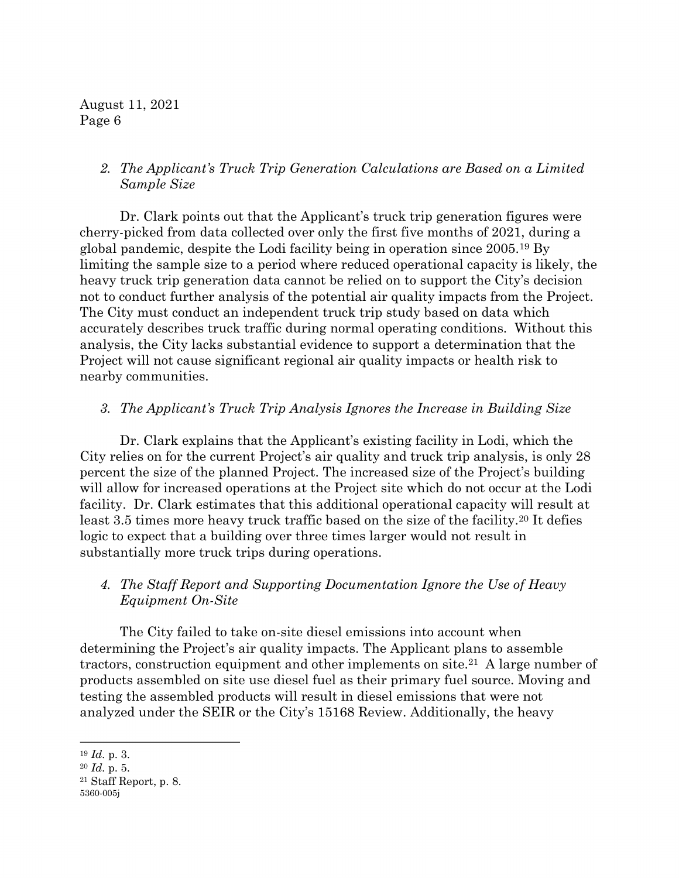### *2. The Applicant's Truck Trip Generation Calculations are Based on a Limited Sample Size*

Dr. Clark points out that the Applicant's truck trip generation figures were cherry-picked from data collected over only the first five months of 2021, during a global pandemic, despite the Lodi facility being in operation since 2005.<sup>19</sup> By limiting the sample size to a period where reduced operational capacity is likely, the heavy truck trip generation data cannot be relied on to support the City's decision not to conduct further analysis of the potential air quality impacts from the Project. The City must conduct an independent truck trip study based on data which accurately describes truck traffic during normal operating conditions. Without this analysis, the City lacks substantial evidence to support a determination that the Project will not cause significant regional air quality impacts or health risk to nearby communities.

#### *3. The Applicant's Truck Trip Analysis Ignores the Increase in Building Size*

Dr. Clark explains that the Applicant's existing facility in Lodi, which the City relies on for the current Project's air quality and truck trip analysis, is only 28 percent the size of the planned Project. The increased size of the Project's building will allow for increased operations at the Project site which do not occur at the Lodi facility. Dr. Clark estimates that this additional operational capacity will result at least 3.5 times more heavy truck traffic based on the size of the facility.<sup>20</sup> It defies logic to expect that a building over three times larger would not result in substantially more truck trips during operations.

# *4. The Staff Report and Supporting Documentation Ignore the Use of Heavy Equipment On-Site*

The City failed to take on-site diesel emissions into account when determining the Project's air quality impacts. The Applicant plans to assemble tractors, construction equipment and other implements on site.<sup>21</sup> A large number of products assembled on site use diesel fuel as their primary fuel source. Moving and testing the assembled products will result in diesel emissions that were not analyzed under the SEIR or the City's 15168 Review. Additionally, the heavy

<sup>19</sup> *Id.* p. 3.

<sup>20</sup> *Id.* p. 5.

<sup>5360-005</sup>j <sup>21</sup> Staff Report, p. 8.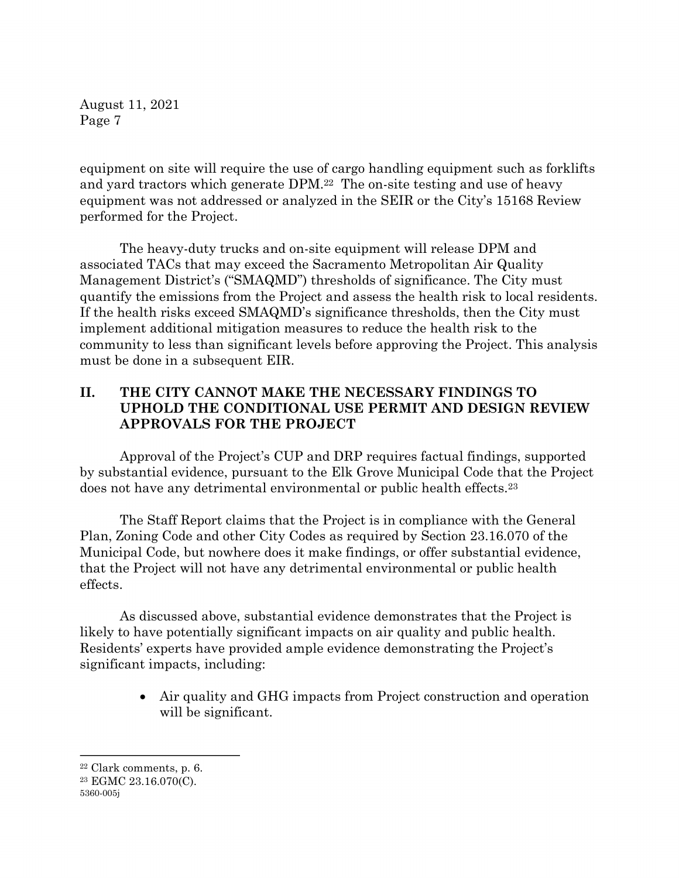equipment on site will require the use of cargo handling equipment such as forklifts and yard tractors which generate DPM. <sup>22</sup> The on-site testing and use of heavy equipment was not addressed or analyzed in the SEIR or the City's 15168 Review performed for the Project.

The heavy-duty trucks and on-site equipment will release DPM and associated TACs that may exceed the Sacramento Metropolitan Air Quality Management District's ("SMAQMD") thresholds of significance. The City must quantify the emissions from the Project and assess the health risk to local residents. If the health risks exceed SMAQMD's significance thresholds, then the City must implement additional mitigation measures to reduce the health risk to the community to less than significant levels before approving the Project. This analysis must be done in a subsequent EIR.

# **II. THE CITY CANNOT MAKE THE NECESSARY FINDINGS TO UPHOLD THE CONDITIONAL USE PERMIT AND DESIGN REVIEW APPROVALS FOR THE PROJECT**

Approval of the Project's CUP and DRP requires factual findings, supported by substantial evidence, pursuant to the Elk Grove Municipal Code that the Project does not have any detrimental environmental or public health effects.<sup>23</sup>

The Staff Report claims that the Project is in compliance with the General Plan, Zoning Code and other City Codes as required by Section 23.16.070 of the Municipal Code, but nowhere does it make findings, or offer substantial evidence, that the Project will not have any detrimental environmental or public health effects.

As discussed above, substantial evidence demonstrates that the Project is likely to have potentially significant impacts on air quality and public health. Residents' experts have provided ample evidence demonstrating the Project's significant impacts, including:

> • Air quality and GHG impacts from Project construction and operation will be significant.

<sup>22</sup> Clark comments, p. 6.

<sup>23</sup> EGMC 23.16.070(C).

<sup>5360-005</sup>j